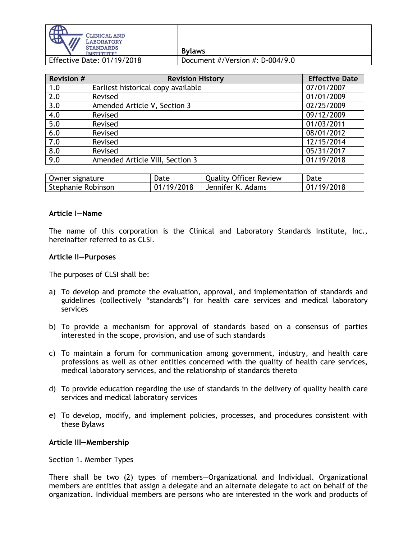

**Bylaws**  Effective Date: 01/19/2018 Document #/Version #: D-004/9.0

| <b>Revision #</b> | <b>Revision History</b>            | <b>Effective Date</b> |
|-------------------|------------------------------------|-----------------------|
| 1.0               | Earliest historical copy available | 07/01/2007            |
| 2.0               | Revised                            | 01/01/2009            |
| 3.0               | Amended Article V, Section 3       | 02/25/2009            |
| 4.0               | Revised                            | 09/12/2009            |
| 5.0               | Revised                            | 01/03/2011            |
| 6.0               | Revised                            | 08/01/2012            |
| 7.0               | Revised                            | 12/15/2014            |
| 8.0               | Revised                            | 05/31/2017            |
| 9.0               | Amended Article VIII, Section 3    | 01/19/2018            |

| Owner signature    | Date       | <b>Quality Officer Review</b> | Date       |
|--------------------|------------|-------------------------------|------------|
| Stephanie Robinson | 01/19/2018 | Jennifer K. Adams             | 01/19/2018 |

#### **Article I—Name**

The name of this corporation is the Clinical and Laboratory Standards Institute, Inc., hereinafter referred to as CLSI.

#### **Article II—Purposes**

The purposes of CLSI shall be:

- a) To develop and promote the evaluation, approval, and implementation of standards and guidelines (collectively "standards") for health care services and medical laboratory services
- b) To provide a mechanism for approval of standards based on a consensus of parties interested in the scope, provision, and use of such standards
- c) To maintain a forum for communication among government, industry, and health care professions as well as other entities concerned with the quality of health care services, medical laboratory services, and the relationship of standards thereto
- d) To provide education regarding the use of standards in the delivery of quality health care services and medical laboratory services
- e) To develop, modify, and implement policies, processes, and procedures consistent with these Bylaws

#### **Article III—Membership**

Section 1. Member Types

There shall be two (2) types of members—Organizational and Individual. Organizational members are entities that assign a delegate and an alternate delegate to act on behalf of the organization. Individual members are persons who are interested in the work and products of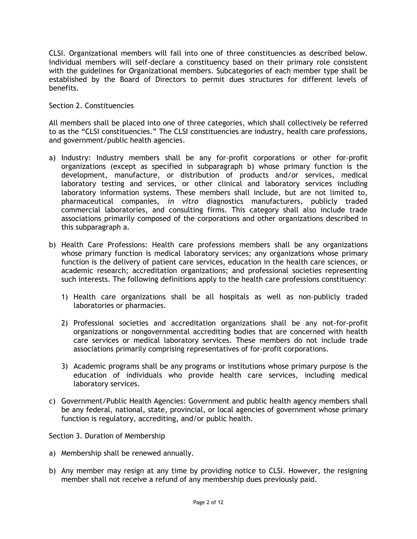CLSI. Organizational members will fall into one of three constituencies as described below. Individual members will self-declare a constituency based on their primary role consistent with the guidelines for Organizational members. Subcategories of each member type shall be established by the Board of Directors to permit dues structures for different levels of benefits.

Section 2. Constituencies

All members shall be placed into one of three categories, which shall collectively be referred to as the "CLSI constituencies." The CLSI constituencies are industry, health care professions, and government/public health agencies.

- a) Industry: Industry members shall be any for-profit corporations or other for-profit organizations (except as specified in subparagraph b) whose primary function is the development, manufacture, or distribution of products and/or services, medical laboratory testing and services, or other clinical and laboratory services including laboratory information systems. These members shall include, but are not limited to, pharmaceutical companies, *in vitro* diagnostics manufacturers, publicly traded commercial laboratories, and consulting firms. This category shall also include trade associations primarily composed of the corporations and other organizations described in this subparagraph a.
- b) Health Care Professions: Health care professions members shall be any organizations whose primary function is medical laboratory services; any organizations whose primary function is the delivery of patient care services, education in the health care sciences, or academic research; accreditation organizations; and professional societies representing such interests. The following definitions apply to the health care professions constituency:
	- 1) Health care organizations shall be all hospitals as well as non–publicly traded laboratories or pharmacies.
	- 2) Professional societies and accreditation organizations shall be any not-for-profit organizations or nongovernmental accrediting bodies that are concerned with health care services or medical laboratory services. These members do not include trade associations primarily comprising representatives of for-profit corporations.
	- 3) Academic programs shall be any programs or institutions whose primary purpose is the education of individuals who provide health care services, including medical laboratory services.
- c) Government/Public Health Agencies: Government and public health agency members shall be any federal, national, state, provincial, or local agencies of government whose primary function is regulatory, accrediting, and/or public health.

Section 3. Duration of Membership

- a) Membership shall be renewed annually.
- b) Any member may resign at any time by providing notice to CLSI. However, the resigning member shall not receive a refund of any membership dues previously paid.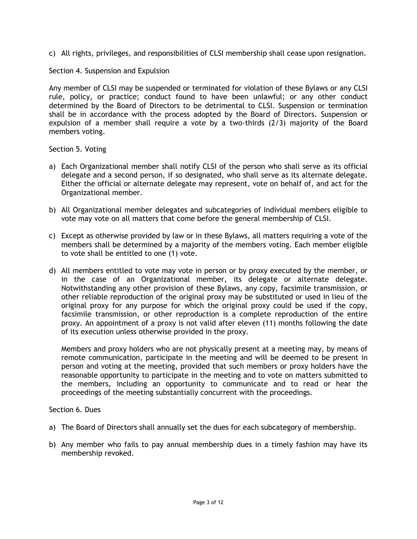c) All rights, privileges, and responsibilities of CLSI membership shall cease upon resignation.

# Section 4. Suspension and Expulsion

Any member of CLSI may be suspended or terminated for violation of these Bylaws or any CLSI rule, policy, or practice; conduct found to have been unlawful; or any other conduct determined by the Board of Directors to be detrimental to CLSI. Suspension or termination shall be in accordance with the process adopted by the Board of Directors. Suspension or expulsion of a member shall require a vote by a two-thirds (2/3) majority of the Board members voting.

Section 5. Voting

- a) Each Organizational member shall notify CLSI of the person who shall serve as its official delegate and a second person, if so designated, who shall serve as its alternate delegate. Either the official or alternate delegate may represent, vote on behalf of, and act for the Organizational member.
- b) All Organizational member delegates and subcategories of Individual members eligible to vote may vote on all matters that come before the general membership of CLSI.
- c) Except as otherwise provided by law or in these Bylaws, all matters requiring a vote of the members shall be determined by a majority of the members voting. Each member eligible to vote shall be entitled to one (1) vote.
- d) All members entitled to vote may vote in person or by proxy executed by the member, or in the case of an Organizational member, its delegate or alternate delegate. Notwithstanding any other provision of these Bylaws, any copy, facsimile transmission, or other reliable reproduction of the original proxy may be substituted or used in lieu of the original proxy for any purpose for which the original proxy could be used if the copy, facsimile transmission, or other reproduction is a complete reproduction of the entire proxy. An appointment of a proxy is not valid after eleven (11) months following the date of its execution unless otherwise provided in the proxy.

Members and proxy holders who are not physically present at a meeting may, by means of remote communication, participate in the meeting and will be deemed to be present in person and voting at the meeting, provided that such members or proxy holders have the reasonable opportunity to participate in the meeting and to vote on matters submitted to the members, including an opportunity to communicate and to read or hear the proceedings of the meeting substantially concurrent with the proceedings.

Section 6. Dues

- a) The Board of Directors shall annually set the dues for each subcategory of membership.
- b) Any member who fails to pay annual membership dues in a timely fashion may have its membership revoked.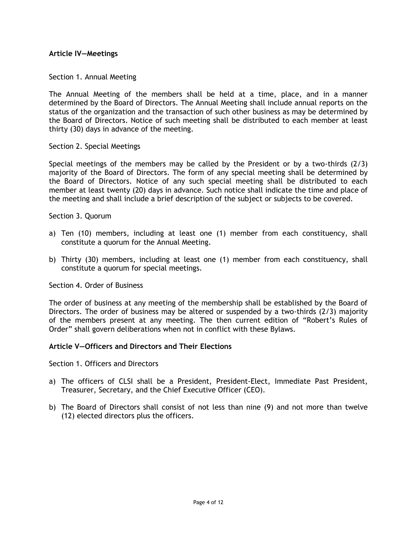### **Article IV—Meetings**

### Section 1. Annual Meeting

The Annual Meeting of the members shall be held at a time, place, and in a manner determined by the Board of Directors. The Annual Meeting shall include annual reports on the status of the organization and the transaction of such other business as may be determined by the Board of Directors. Notice of such meeting shall be distributed to each member at least thirty (30) days in advance of the meeting.

### Section 2. Special Meetings

Special meetings of the members may be called by the President or by a two-thirds (2/3) majority of the Board of Directors. The form of any special meeting shall be determined by the Board of Directors. Notice of any such special meeting shall be distributed to each member at least twenty (20) days in advance. Such notice shall indicate the time and place of the meeting and shall include a brief description of the subject or subjects to be covered.

### Section 3. Quorum

- a) Ten (10) members, including at least one (1) member from each constituency, shall constitute a quorum for the Annual Meeting.
- b) Thirty (30) members, including at least one (1) member from each constituency, shall constitute a quorum for special meetings.

### Section 4. Order of Business

The order of business at any meeting of the membership shall be established by the Board of Directors. The order of business may be altered or suspended by a two-thirds (2/3) majority of the members present at any meeting. The then current edition of "Robert's Rules of Order" shall govern deliberations when not in conflict with these Bylaws.

### **Article V—Officers and Directors and Their Elections**

Section 1. Officers and Directors

- a) The officers of CLSI shall be a President, President-Elect, Immediate Past President, Treasurer, Secretary, and the Chief Executive Officer (CEO).
- b) The Board of Directors shall consist of not less than nine (9) and not more than twelve (12) elected directors plus the officers.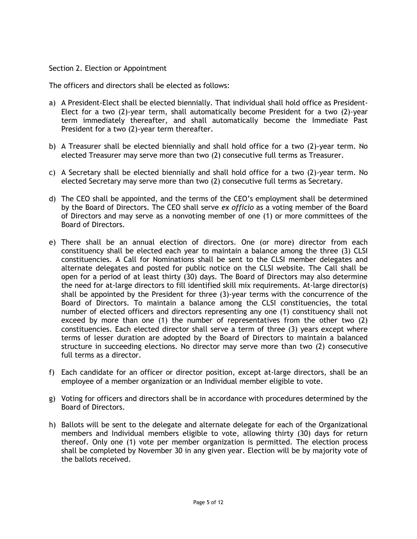## Section 2. Election or Appointment

The officers and directors shall be elected as follows:

- a) A President-Elect shall be elected biennially. That individual shall hold office as President-Elect for a two (2)-year term, shall automatically become President for a two (2)-year term immediately thereafter, and shall automatically become the Immediate Past President for a two (2)-year term thereafter.
- b) A Treasurer shall be elected biennially and shall hold office for a two (2)-year term. No elected Treasurer may serve more than two (2) consecutive full terms as Treasurer.
- c) A Secretary shall be elected biennially and shall hold office for a two (2)-year term. No elected Secretary may serve more than two (2) consecutive full terms as Secretary.
- d) The CEO shall be appointed, and the terms of the CEO's employment shall be determined by the Board of Directors. The CEO shall serve *ex officio* as a voting member of the Board of Directors and may serve as a nonvoting member of one (1) or more committees of the Board of Directors.
- e) There shall be an annual election of directors. One (or more) director from each constituency shall be elected each year to maintain a balance among the three (3) CLSI constituencies. A Call for Nominations shall be sent to the CLSI member delegates and alternate delegates and posted for public notice on the CLSI website. The Call shall be open for a period of at least thirty (30) days. The Board of Directors may also determine the need for at-large directors to fill identified skill mix requirements. At-large director(s) shall be appointed by the President for three (3)-year terms with the concurrence of the Board of Directors. To maintain a balance among the CLSI constituencies, the total number of elected officers and directors representing any one (1) constituency shall not exceed by more than one (1) the number of representatives from the other two (2) constituencies. Each elected director shall serve a term of three (3) years except where terms of lesser duration are adopted by the Board of Directors to maintain a balanced structure in succeeding elections. No director may serve more than two (2) consecutive full terms as a director.
- f) Each candidate for an officer or director position, except at-large directors, shall be an employee of a member organization or an Individual member eligible to vote.
- g) Voting for officers and directors shall be in accordance with procedures determined by the Board of Directors.
- h) Ballots will be sent to the delegate and alternate delegate for each of the Organizational members and Individual members eligible to vote, allowing thirty (30) days for return thereof. Only one (1) vote per member organization is permitted. The election process shall be completed by November 30 in any given year. Election will be by majority vote of the ballots received.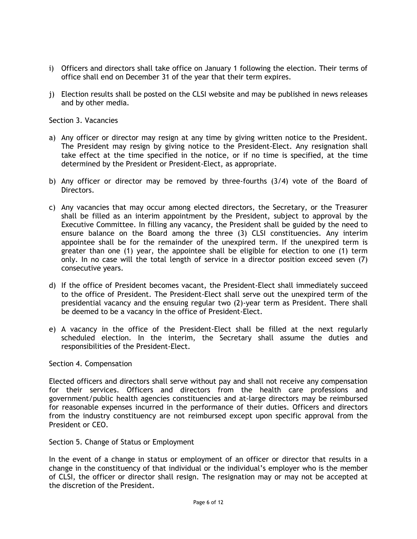- i) Officers and directors shall take office on January 1 following the election. Their terms of office shall end on December 31 of the year that their term expires.
- j) Election results shall be posted on the CLSI website and may be published in news releases and by other media.

Section 3. Vacancies

- a) Any officer or director may resign at any time by giving written notice to the President. The President may resign by giving notice to the President-Elect. Any resignation shall take effect at the time specified in the notice, or if no time is specified, at the time determined by the President or President-Elect, as appropriate.
- b) Any officer or director may be removed by three-fourths (3/4) vote of the Board of Directors.
- c) Any vacancies that may occur among elected directors, the Secretary, or the Treasurer shall be filled as an interim appointment by the President, subject to approval by the Executive Committee. In filling any vacancy, the President shall be guided by the need to ensure balance on the Board among the three (3) CLSI constituencies. Any interim appointee shall be for the remainder of the unexpired term. If the unexpired term is greater than one (1) year, the appointee shall be eligible for election to one (1) term only. In no case will the total length of service in a director position exceed seven (7) consecutive years.
- d) If the office of President becomes vacant, the President-Elect shall immediately succeed to the office of President. The President-Elect shall serve out the unexpired term of the presidential vacancy and the ensuing regular two (2)-year term as President. There shall be deemed to be a vacancy in the office of President-Elect.
- e) A vacancy in the office of the President-Elect shall be filled at the next regularly scheduled election. In the interim, the Secretary shall assume the duties and responsibilities of the President-Elect.

### Section 4. Compensation

Elected officers and directors shall serve without pay and shall not receive any compensation for their services. Officers and directors from the health care professions and government/public health agencies constituencies and at-large directors may be reimbursed for reasonable expenses incurred in the performance of their duties. Officers and directors from the industry constituency are not reimbursed except upon specific approval from the President or CEO.

Section 5. Change of Status or Employment

In the event of a change in status or employment of an officer or director that results in a change in the constituency of that individual or the individual's employer who is the member of CLSI, the officer or director shall resign. The resignation may or may not be accepted at the discretion of the President.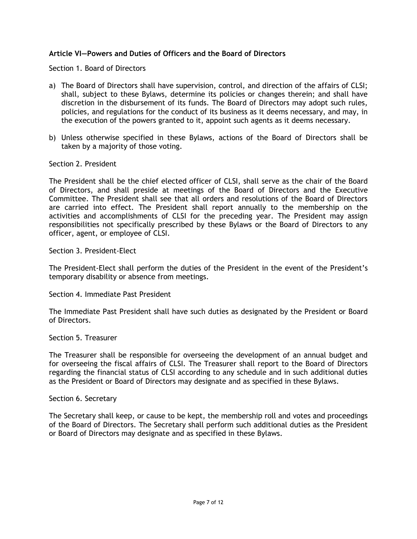# **Article VI—Powers and Duties of Officers and the Board of Directors**

Section 1. Board of Directors

- a) The Board of Directors shall have supervision, control, and direction of the affairs of CLSI; shall, subject to these Bylaws, determine its policies or changes therein; and shall have discretion in the disbursement of its funds. The Board of Directors may adopt such rules, policies, and regulations for the conduct of its business as it deems necessary, and may, in the execution of the powers granted to it, appoint such agents as it deems necessary.
- b) Unless otherwise specified in these Bylaws, actions of the Board of Directors shall be taken by a majority of those voting.

### Section 2. President

The President shall be the chief elected officer of CLSI, shall serve as the chair of the Board of Directors, and shall preside at meetings of the Board of Directors and the Executive Committee. The President shall see that all orders and resolutions of the Board of Directors are carried into effect. The President shall report annually to the membership on the activities and accomplishments of CLSI for the preceding year. The President may assign responsibilities not specifically prescribed by these Bylaws or the Board of Directors to any officer, agent, or employee of CLSI.

Section 3. President-Elect

The President-Elect shall perform the duties of the President in the event of the President's temporary disability or absence from meetings.

Section 4. Immediate Past President

The Immediate Past President shall have such duties as designated by the President or Board of Directors.

### Section 5. Treasurer

The Treasurer shall be responsible for overseeing the development of an annual budget and for overseeing the fiscal affairs of CLSI. The Treasurer shall report to the Board of Directors regarding the financial status of CLSI according to any schedule and in such additional duties as the President or Board of Directors may designate and as specified in these Bylaws.

### Section 6. Secretary

The Secretary shall keep, or cause to be kept, the membership roll and votes and proceedings of the Board of Directors. The Secretary shall perform such additional duties as the President or Board of Directors may designate and as specified in these Bylaws.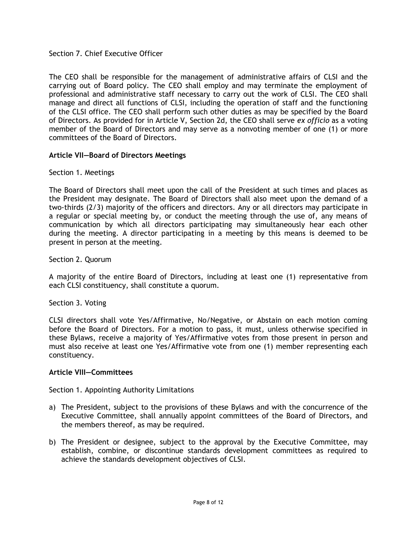## Section 7. Chief Executive Officer

The CEO shall be responsible for the management of administrative affairs of CLSI and the carrying out of Board policy. The CEO shall employ and may terminate the employment of professional and administrative staff necessary to carry out the work of CLSI. The CEO shall manage and direct all functions of CLSI, including the operation of staff and the functioning of the CLSI office. The CEO shall perform such other duties as may be specified by the Board of Directors. As provided for in Article V, Section 2d, the CEO shall serve *ex officio* as a voting member of the Board of Directors and may serve as a nonvoting member of one (1) or more committees of the Board of Directors.

## **Article VII—Board of Directors Meetings**

### Section 1. Meetings

The Board of Directors shall meet upon the call of the President at such times and places as the President may designate. The Board of Directors shall also meet upon the demand of a two-thirds (2/3) majority of the officers and directors. Any or all directors may participate in a regular or special meeting by, or conduct the meeting through the use of, any means of communication by which all directors participating may simultaneously hear each other during the meeting. A director participating in a meeting by this means is deemed to be present in person at the meeting.

### Section 2. Quorum

A majority of the entire Board of Directors, including at least one (1) representative from each CLSI constituency, shall constitute a quorum.

## Section 3. Voting

CLSI directors shall vote Yes/Affirmative, No/Negative, or Abstain on each motion coming before the Board of Directors. For a motion to pass, it must, unless otherwise specified in these Bylaws, receive a majority of Yes/Affirmative votes from those present in person and must also receive at least one Yes/Affirmative vote from one (1) member representing each constituency.

### **Article VIII—Committees**

### Section 1. Appointing Authority Limitations

- a) The President, subject to the provisions of these Bylaws and with the concurrence of the Executive Committee, shall annually appoint committees of the Board of Directors, and the members thereof, as may be required.
- b) The President or designee, subject to the approval by the Executive Committee, may establish, combine, or discontinue standards development committees as required to achieve the standards development objectives of CLSI.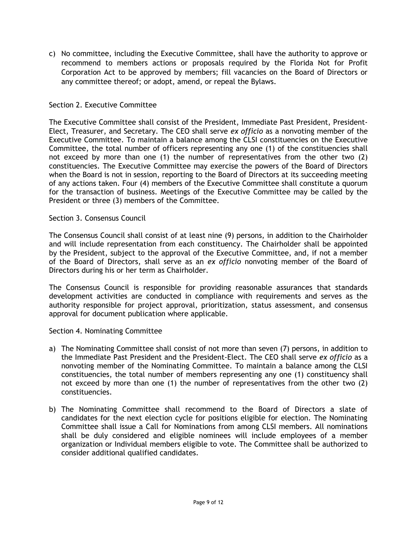c) No committee, including the Executive Committee, shall have the authority to approve or recommend to members actions or proposals required by the Florida Not for Profit Corporation Act to be approved by members; fill vacancies on the Board of Directors or any committee thereof; or adopt, amend, or repeal the Bylaws.

# Section 2. Executive Committee

The Executive Committee shall consist of the President, Immediate Past President, President-Elect, Treasurer, and Secretary. The CEO shall serve *ex officio* as a nonvoting member of the Executive Committee. To maintain a balance among the CLSI constituencies on the Executive Committee, the total number of officers representing any one (1) of the constituencies shall not exceed by more than one (1) the number of representatives from the other two (2) constituencies. The Executive Committee may exercise the powers of the Board of Directors when the Board is not in session, reporting to the Board of Directors at its succeeding meeting of any actions taken. Four (4) members of the Executive Committee shall constitute a quorum for the transaction of business. Meetings of the Executive Committee may be called by the President or three (3) members of the Committee.

## Section 3. Consensus Council

The Consensus Council shall consist of at least nine (9) persons, in addition to the Chairholder and will include representation from each constituency. The Chairholder shall be appointed by the President, subject to the approval of the Executive Committee, and, if not a member of the Board of Directors, shall serve as an *ex officio* nonvoting member of the Board of Directors during his or her term as Chairholder.

The Consensus Council is responsible for providing reasonable assurances that standards development activities are conducted in compliance with requirements and serves as the authority responsible for project approval, prioritization, status assessment, and consensus approval for document publication where applicable.

## Section 4. Nominating Committee

- a) The Nominating Committee shall consist of not more than seven (7) persons, in addition to the Immediate Past President and the President-Elect. The CEO shall serve *ex officio* as a nonvoting member of the Nominating Committee. To maintain a balance among the CLSI constituencies, the total number of members representing any one (1) constituency shall not exceed by more than one (1) the number of representatives from the other two (2) constituencies.
- b) The Nominating Committee shall recommend to the Board of Directors a slate of candidates for the next election cycle for positions eligible for election. The Nominating Committee shall issue a Call for Nominations from among CLSI members. All nominations shall be duly considered and eligible nominees will include employees of a member organization or Individual members eligible to vote. The Committee shall be authorized to consider additional qualified candidates.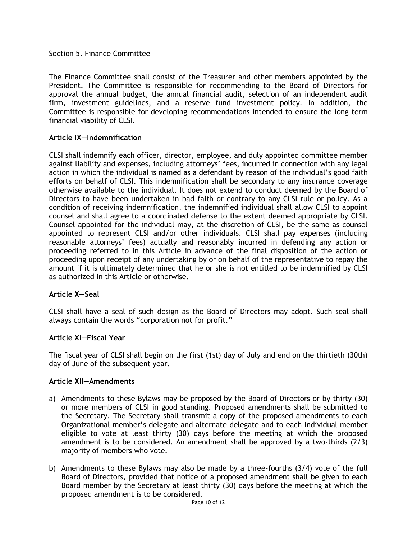## Section 5. Finance Committee

The Finance Committee shall consist of the Treasurer and other members appointed by the President. The Committee is responsible for recommending to the Board of Directors for approval the annual budget, the annual financial audit, selection of an independent audit firm, investment guidelines, and a reserve fund investment policy. In addition, the Committee is responsible for developing recommendations intended to ensure the long-term financial viability of CLSI.

## **Article IX—Indemnification**

CLSI shall indemnify each officer, director, employee, and duly appointed committee member against liability and expenses, including attorneys' fees, incurred in connection with any legal action in which the individual is named as a defendant by reason of the individual's good faith efforts on behalf of CLSI. This indemnification shall be secondary to any insurance coverage otherwise available to the individual. It does not extend to conduct deemed by the Board of Directors to have been undertaken in bad faith or contrary to any CLSI rule or policy. As a condition of receiving indemnification, the indemnified individual shall allow CLSI to appoint counsel and shall agree to a coordinated defense to the extent deemed appropriate by CLSI. Counsel appointed for the individual may, at the discretion of CLSI, be the same as counsel appointed to represent CLSI and/or other individuals. CLSI shall pay expenses (including reasonable attorneys' fees) actually and reasonably incurred in defending any action or proceeding referred to in this Article in advance of the final disposition of the action or proceeding upon receipt of any undertaking by or on behalf of the representative to repay the amount if it is ultimately determined that he or she is not entitled to be indemnified by CLSI as authorized in this Article or otherwise.

## **Article X—Seal**

CLSI shall have a seal of such design as the Board of Directors may adopt. Such seal shall always contain the words "corporation not for profit."

### **Article XI—Fiscal Year**

The fiscal year of CLSI shall begin on the first (1st) day of July and end on the thirtieth (30th) day of June of the subsequent year.

### **Article XII—Amendments**

- a) Amendments to these Bylaws may be proposed by the Board of Directors or by thirty (30) or more members of CLSI in good standing. Proposed amendments shall be submitted to the Secretary. The Secretary shall transmit a copy of the proposed amendments to each Organizational member's delegate and alternate delegate and to each Individual member eligible to vote at least thirty (30) days before the meeting at which the proposed amendment is to be considered. An amendment shall be approved by a two-thirds (2/3) majority of members who vote.
- b) Amendments to these Bylaws may also be made by a three-fourths (3/4) vote of the full Board of Directors, provided that notice of a proposed amendment shall be given to each Board member by the Secretary at least thirty (30) days before the meeting at which the proposed amendment is to be considered.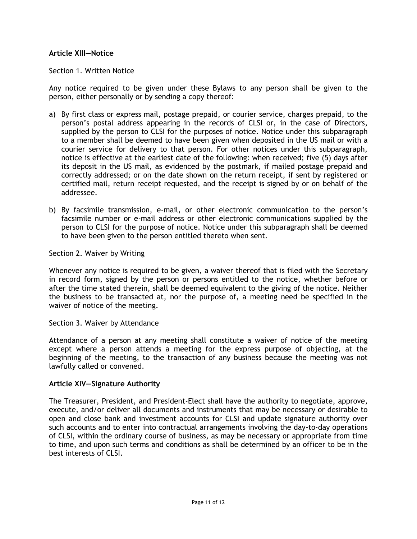## **Article XIII—Notice**

### Section 1. Written Notice

Any notice required to be given under these Bylaws to any person shall be given to the person, either personally or by sending a copy thereof:

- a) By first class or express mail, postage prepaid, or courier service, charges prepaid, to the person's postal address appearing in the records of CLSI or, in the case of Directors, supplied by the person to CLSI for the purposes of notice. Notice under this subparagraph to a member shall be deemed to have been given when deposited in the US mail or with a courier service for delivery to that person. For other notices under this subparagraph, notice is effective at the earliest date of the following: when received; five (5) days after its deposit in the US mail, as evidenced by the postmark, if mailed postage prepaid and correctly addressed; or on the date shown on the return receipt, if sent by registered or certified mail, return receipt requested, and the receipt is signed by or on behalf of the addressee.
- b) By facsimile transmission, e-mail, or other electronic communication to the person's facsimile number or e-mail address or other electronic communications supplied by the person to CLSI for the purpose of notice. Notice under this subparagraph shall be deemed to have been given to the person entitled thereto when sent.

### Section 2. Waiver by Writing

Whenever any notice is required to be given, a waiver thereof that is filed with the Secretary in record form, signed by the person or persons entitled to the notice, whether before or after the time stated therein, shall be deemed equivalent to the giving of the notice. Neither the business to be transacted at, nor the purpose of, a meeting need be specified in the waiver of notice of the meeting.

### Section 3. Waiver by Attendance

Attendance of a person at any meeting shall constitute a waiver of notice of the meeting except where a person attends a meeting for the express purpose of objecting, at the beginning of the meeting, to the transaction of any business because the meeting was not lawfully called or convened.

### **Article XIV—Signature Authority**

The Treasurer, President, and President-Elect shall have the authority to negotiate, approve, execute, and/or deliver all documents and instruments that may be necessary or desirable to open and close bank and investment accounts for CLSI and update signature authority over such accounts and to enter into contractual arrangements involving the day-to-day operations of CLSI, within the ordinary course of business, as may be necessary or appropriate from time to time, and upon such terms and conditions as shall be determined by an officer to be in the best interests of CLSI.